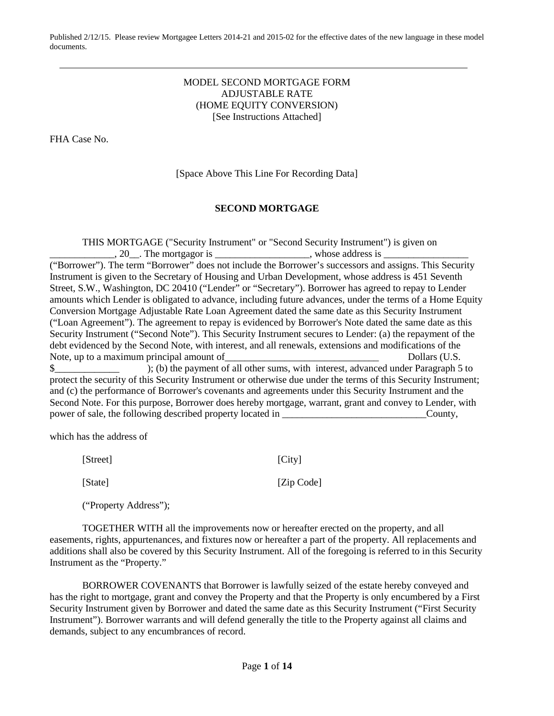## MODEL SECOND MORTGAGE FORM ADJUSTABLE RATE (HOME EQUITY CONVERSION) [See Instructions Attached]

FHA Case No.

[Space Above This Line For Recording Data]

# **SECOND MORTGAGE**

THIS MORTGAGE ("Security Instrument" or "Second Security Instrument") is given on  $\Box$ , 20 $\Box$ . The mortgagor is  $\Box$ 

("Borrower"). The term "Borrower" does not include the Borrower's successors and assigns. This Security Instrument is given to the Secretary of Housing and Urban Development, whose address is 451 Seventh Street, S.W., Washington, DC 20410 ("Lender" or "Secretary"). Borrower has agreed to repay to Lender amounts which Lender is obligated to advance, including future advances, under the terms of a Home Equity Conversion Mortgage Adjustable Rate Loan Agreement dated the same date as this Security Instrument ("Loan Agreement"). The agreement to repay is evidenced by Borrower's Note dated the same date as this Security Instrument ("Second Note"). This Security Instrument secures to Lender: (a) the repayment of the debt evidenced by the Second Note, with interest, and all renewals, extensions and modifications of the Note, up to a maximum principal amount of Theorem 2001 Collars (U.S. \$ protect the security of this Security Instrument or otherwise due under the terms of this Security Instrument; and (c) the performance of Borrower's covenants and agreements under this Security Instrument and the Second Note. For this purpose, Borrower does hereby mortgage, warrant, grant and convey to Lender, with power of sale, the following described property located in \_\_\_\_\_\_\_\_\_\_\_\_\_\_\_\_\_\_\_\_\_\_\_\_\_\_\_\_\_County,

which has the address of

[Street] [City]

[State] [Zip Code]

("Property Address");

TOGETHER WITH all the improvements now or hereafter erected on the property, and all easements, rights, appurtenances, and fixtures now or hereafter a part of the property. All replacements and additions shall also be covered by this Security Instrument. All of the foregoing is referred to in this Security Instrument as the "Property."

BORROWER COVENANTS that Borrower is lawfully seized of the estate hereby conveyed and has the right to mortgage, grant and convey the Property and that the Property is only encumbered by a First Security Instrument given by Borrower and dated the same date as this Security Instrument ("First Security Instrument"). Borrower warrants and will defend generally the title to the Property against all claims and demands, subject to any encumbrances of record.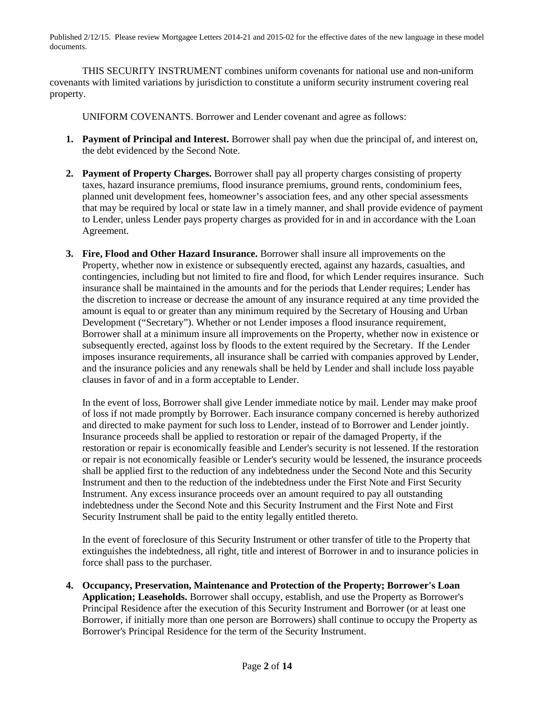THIS SECURITY INSTRUMENT combines uniform covenants for national use and non-uniform covenants with limited variations by jurisdiction to constitute a uniform security instrument covering real property.

UNIFORM COVENANTS. Borrower and Lender covenant and agree as follows:

- **1. Payment of Principal and Interest.** Borrower shall pay when due the principal of, and interest on, the debt evidenced by the Second Note.
- **2. Payment of Property Charges.** Borrower shall pay all property charges consisting of property taxes, hazard insurance premiums, flood insurance premiums, ground rents, condominium fees, planned unit development fees, homeowner's association fees, and any other special assessments that may be required by local or state law in a timely manner, and shall provide evidence of payment to Lender, unless Lender pays property charges as provided for in and in accordance with the Loan Agreement.
- **3. Fire, Flood and Other Hazard Insurance.** Borrower shall insure all improvements on the Property, whether now in existence or subsequently erected, against any hazards, casualties, and contingencies, including but not limited to fire and flood, for which Lender requires insurance. Such insurance shall be maintained in the amounts and for the periods that Lender requires; Lender has the discretion to increase or decrease the amount of any insurance required at any time provided the amount is equal to or greater than any minimum required by the Secretary of Housing and Urban Development ("Secretary"). Whether or not Lender imposes a flood insurance requirement, Borrower shall at a minimum insure all improvements on the Property, whether now in existence or subsequently erected, against loss by floods to the extent required by the Secretary. If the Lender imposes insurance requirements, all insurance shall be carried with companies approved by Lender, and the insurance policies and any renewals shall be held by Lender and shall include loss payable clauses in favor of and in a form acceptable to Lender.

In the event of loss, Borrower shall give Lender immediate notice by mail. Lender may make proof of loss if not made promptly by Borrower. Each insurance company concerned is hereby authorized and directed to make payment for such loss to Lender, instead of to Borrower and Lender jointly. Insurance proceeds shall be applied to restoration or repair of the damaged Property, if the restoration or repair is economically feasible and Lender's security is not lessened. If the restoration or repair is not economically feasible or Lender's security would be lessened, the insurance proceeds shall be applied first to the reduction of any indebtedness under the Second Note and this Security Instrument and then to the reduction of the indebtedness under the First Note and First Security Instrument. Any excess insurance proceeds over an amount required to pay all outstanding indebtedness under the Second Note and this Security Instrument and the First Note and First Security Instrument shall be paid to the entity legally entitled thereto.

In the event of foreclosure of this Security Instrument or other transfer of title to the Property that extinguishes the indebtedness, all right, title and interest of Borrower in and to insurance policies in force shall pass to the purchaser.

**4. Occupancy, Preservation, Maintenance and Protection of the Property; Borrower's Loan Application; Leaseholds.** Borrower shall occupy, establish, and use the Property as Borrower's Principal Residence after the execution of this Security Instrument and Borrower (or at least one Borrower, if initially more than one person are Borrowers) shall continue to occupy the Property as Borrower's Principal Residence for the term of the Security Instrument.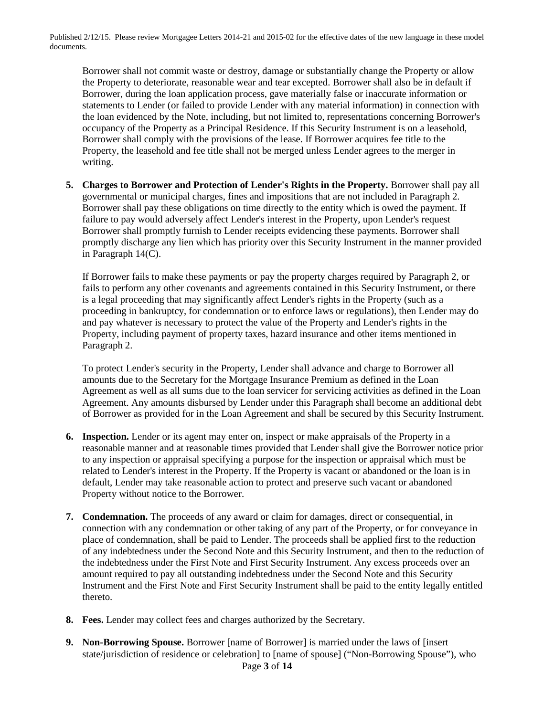Borrower shall not commit waste or destroy, damage or substantially change the Property or allow the Property to deteriorate, reasonable wear and tear excepted. Borrower shall also be in default if Borrower, during the loan application process, gave materially false or inaccurate information or statements to Lender (or failed to provide Lender with any material information) in connection with the loan evidenced by the Note, including, but not limited to, representations concerning Borrower's occupancy of the Property as a Principal Residence. If this Security Instrument is on a leasehold, Borrower shall comply with the provisions of the lease. If Borrower acquires fee title to the Property, the leasehold and fee title shall not be merged unless Lender agrees to the merger in writing.

**5. Charges to Borrower and Protection of Lender's Rights in the Property.** Borrower shall pay all governmental or municipal charges, fines and impositions that are not included in Paragraph 2. Borrower shall pay these obligations on time directly to the entity which is owed the payment. If failure to pay would adversely affect Lender's interest in the Property, upon Lender's request Borrower shall promptly furnish to Lender receipts evidencing these payments. Borrower shall promptly discharge any lien which has priority over this Security Instrument in the manner provided in Paragraph 14(C).

If Borrower fails to make these payments or pay the property charges required by Paragraph 2, or fails to perform any other covenants and agreements contained in this Security Instrument, or there is a legal proceeding that may significantly affect Lender's rights in the Property (such as a proceeding in bankruptcy, for condemnation or to enforce laws or regulations), then Lender may do and pay whatever is necessary to protect the value of the Property and Lender's rights in the Property, including payment of property taxes, hazard insurance and other items mentioned in Paragraph 2.

To protect Lender's security in the Property, Lender shall advance and charge to Borrower all amounts due to the Secretary for the Mortgage Insurance Premium as defined in the Loan Agreement as well as all sums due to the loan servicer for servicing activities as defined in the Loan Agreement. Any amounts disbursed by Lender under this Paragraph shall become an additional debt of Borrower as provided for in the Loan Agreement and shall be secured by this Security Instrument.

- **6. Inspection.** Lender or its agent may enter on, inspect or make appraisals of the Property in a reasonable manner and at reasonable times provided that Lender shall give the Borrower notice prior to any inspection or appraisal specifying a purpose for the inspection or appraisal which must be related to Lender's interest in the Property. If the Property is vacant or abandoned or the loan is in default, Lender may take reasonable action to protect and preserve such vacant or abandoned Property without notice to the Borrower.
- **7. Condemnation.** The proceeds of any award or claim for damages, direct or consequential, in connection with any condemnation or other taking of any part of the Property, or for conveyance in place of condemnation, shall be paid to Lender. The proceeds shall be applied first to the reduction of any indebtedness under the Second Note and this Security Instrument, and then to the reduction of the indebtedness under the First Note and First Security Instrument. Any excess proceeds over an amount required to pay all outstanding indebtedness under the Second Note and this Security Instrument and the First Note and First Security Instrument shall be paid to the entity legally entitled thereto.
- **8. Fees.** Lender may collect fees and charges authorized by the Secretary.
- Page **3** of **14 9. Non-Borrowing Spouse.** Borrower [name of Borrower] is married under the laws of [insert state/jurisdiction of residence or celebration] to [name of spouse] ("Non-Borrowing Spouse"), who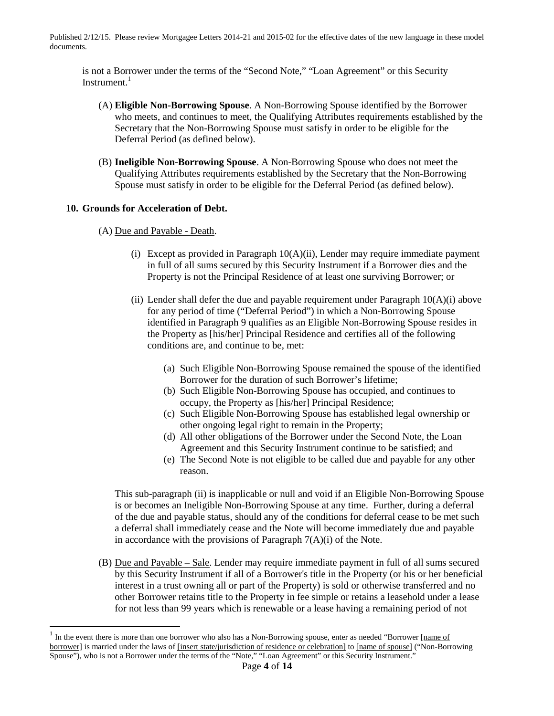is not a Borrower under the terms of the "Second Note," "Loan Agreement" or this Security Instrument. $1$ 

- (A) **Eligible Non-Borrowing Spouse**. A Non-Borrowing Spouse identified by the Borrower who meets, and continues to meet, the Qualifying Attributes requirements established by the Secretary that the Non-Borrowing Spouse must satisfy in order to be eligible for the Deferral Period (as defined below).
- (B) **Ineligible Non-Borrowing Spouse**. A Non-Borrowing Spouse who does not meet the Qualifying Attributes requirements established by the Secretary that the Non-Borrowing Spouse must satisfy in order to be eligible for the Deferral Period (as defined below).

### **10. Grounds for Acceleration of Debt.**

- (A) Due and Payable Death.
	- (i) Except as provided in Paragraph 10(A)(ii), Lender may require immediate payment in full of all sums secured by this Security Instrument if a Borrower dies and the Property is not the Principal Residence of at least one surviving Borrower; or
	- (ii) Lender shall defer the due and payable requirement under Paragraph  $10(A)(i)$  above for any period of time ("Deferral Period") in which a Non-Borrowing Spouse identified in Paragraph 9 qualifies as an Eligible Non-Borrowing Spouse resides in the Property as [his/her] Principal Residence and certifies all of the following conditions are, and continue to be, met:
		- (a) Such Eligible Non-Borrowing Spouse remained the spouse of the identified Borrower for the duration of such Borrower's lifetime;
		- (b) Such Eligible Non-Borrowing Spouse has occupied, and continues to occupy, the Property as [his/her] Principal Residence;
		- (c) Such Eligible Non-Borrowing Spouse has established legal ownership or other ongoing legal right to remain in the Property;
		- (d) All other obligations of the Borrower under the Second Note, the Loan Agreement and this Security Instrument continue to be satisfied; and
		- (e) The Second Note is not eligible to be called due and payable for any other reason.

This sub-paragraph (ii) is inapplicable or null and void if an Eligible Non-Borrowing Spouse is or becomes an Ineligible Non-Borrowing Spouse at any time. Further, during a deferral of the due and payable status, should any of the conditions for deferral cease to be met such a deferral shall immediately cease and the Note will become immediately due and payable in accordance with the provisions of Paragraph  $7(A)(i)$  of the Note.

(B) Due and Payable – Sale. Lender may require immediate payment in full of all sums secured by this Security Instrument if all of a Borrower's title in the Property (or his or her beneficial interest in a trust owning all or part of the Property) is sold or otherwise transferred and no other Borrower retains title to the Property in fee simple or retains a leasehold under a lease for not less than 99 years which is renewable or a lease having a remaining period of not

<sup>1</sup> In the event there is more than one borrower who also has a Non-Borrowing spouse, enter as needed "Borrower [name of borrower] is married under the laws of [insert state/jurisdiction of residence or celebration] to [name of spouse] ("Non-Borrowing Spouse"), who is not a Borrower under the terms of the "Note," "Loan Agreement" or this Security Instrument."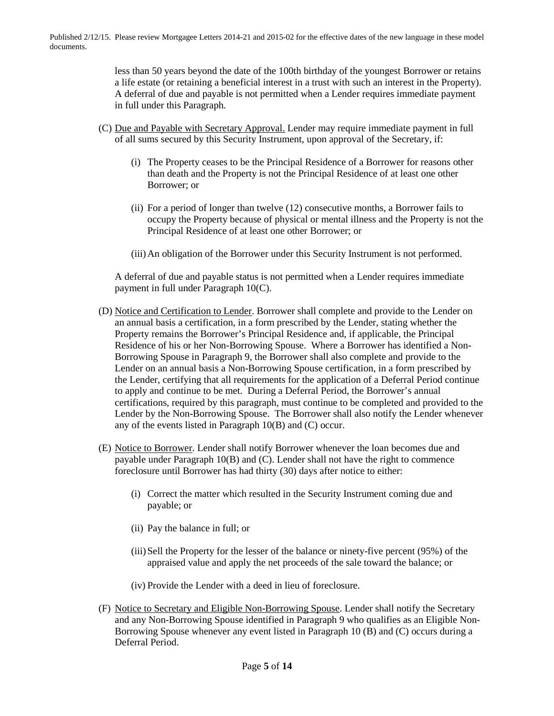> less than 50 years beyond the date of the 100th birthday of the youngest Borrower or retains a life estate (or retaining a beneficial interest in a trust with such an interest in the Property). A deferral of due and payable is not permitted when a Lender requires immediate payment in full under this Paragraph.

- (C) Due and Payable with Secretary Approval. Lender may require immediate payment in full of all sums secured by this Security Instrument, upon approval of the Secretary, if:
	- (i) The Property ceases to be the Principal Residence of a Borrower for reasons other than death and the Property is not the Principal Residence of at least one other Borrower; or
	- (ii) For a period of longer than twelve (12) consecutive months, a Borrower fails to occupy the Property because of physical or mental illness and the Property is not the Principal Residence of at least one other Borrower; or

(iii)An obligation of the Borrower under this Security Instrument is not performed.

A deferral of due and payable status is not permitted when a Lender requires immediate payment in full under Paragraph 10(C).

- (D) Notice and Certification to Lender. Borrower shall complete and provide to the Lender on an annual basis a certification, in a form prescribed by the Lender, stating whether the Property remains the Borrower's Principal Residence and, if applicable, the Principal Residence of his or her Non-Borrowing Spouse. Where a Borrower has identified a Non-Borrowing Spouse in Paragraph 9, the Borrower shall also complete and provide to the Lender on an annual basis a Non-Borrowing Spouse certification, in a form prescribed by the Lender, certifying that all requirements for the application of a Deferral Period continue to apply and continue to be met. During a Deferral Period, the Borrower's annual certifications, required by this paragraph, must continue to be completed and provided to the Lender by the Non-Borrowing Spouse. The Borrower shall also notify the Lender whenever any of the events listed in Paragraph 10(B) and (C) occur.
- (E) Notice to Borrower. Lender shall notify Borrower whenever the loan becomes due and payable under Paragraph 10(B) and (C). Lender shall not have the right to commence foreclosure until Borrower has had thirty (30) days after notice to either:
	- (i) Correct the matter which resulted in the Security Instrument coming due and payable; or
	- (ii) Pay the balance in full; or
	- (iii)Sell the Property for the lesser of the balance or ninety-five percent (95%) of the appraised value and apply the net proceeds of the sale toward the balance; or
	- (iv) Provide the Lender with a deed in lieu of foreclosure.
- (F) Notice to Secretary and Eligible Non-Borrowing Spouse. Lender shall notify the Secretary and any Non-Borrowing Spouse identified in Paragraph 9 who qualifies as an Eligible Non-Borrowing Spouse whenever any event listed in Paragraph 10 (B) and (C) occurs during a Deferral Period.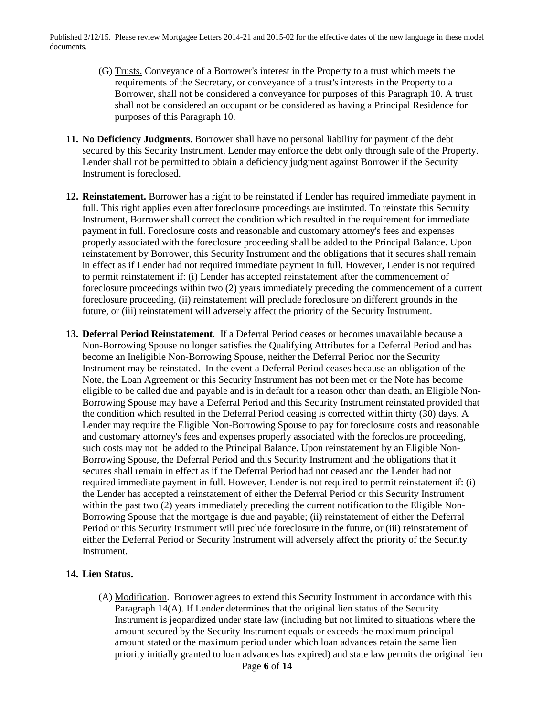- (G) Trusts. Conveyance of a Borrower's interest in the Property to a trust which meets the requirements of the Secretary, or conveyance of a trust's interests in the Property to a Borrower, shall not be considered a conveyance for purposes of this Paragraph 10. A trust shall not be considered an occupant or be considered as having a Principal Residence for purposes of this Paragraph 10.
- **11. No Deficiency Judgments**. Borrower shall have no personal liability for payment of the debt secured by this Security Instrument. Lender may enforce the debt only through sale of the Property. Lender shall not be permitted to obtain a deficiency judgment against Borrower if the Security Instrument is foreclosed.
- **12. Reinstatement.** Borrower has a right to be reinstated if Lender has required immediate payment in full. This right applies even after foreclosure proceedings are instituted. To reinstate this Security Instrument, Borrower shall correct the condition which resulted in the requirement for immediate payment in full. Foreclosure costs and reasonable and customary attorney's fees and expenses properly associated with the foreclosure proceeding shall be added to the Principal Balance. Upon reinstatement by Borrower, this Security Instrument and the obligations that it secures shall remain in effect as if Lender had not required immediate payment in full. However, Lender is not required to permit reinstatement if: (i) Lender has accepted reinstatement after the commencement of foreclosure proceedings within two (2) years immediately preceding the commencement of a current foreclosure proceeding, (ii) reinstatement will preclude foreclosure on different grounds in the future, or (iii) reinstatement will adversely affect the priority of the Security Instrument.
- **13. Deferral Period Reinstatement**. If a Deferral Period ceases or becomes unavailable because a Non-Borrowing Spouse no longer satisfies the Qualifying Attributes for a Deferral Period and has become an Ineligible Non-Borrowing Spouse, neither the Deferral Period nor the Security Instrument may be reinstated. In the event a Deferral Period ceases because an obligation of the Note, the Loan Agreement or this Security Instrument has not been met or the Note has become eligible to be called due and payable and is in default for a reason other than death, an Eligible Non-Borrowing Spouse may have a Deferral Period and this Security Instrument reinstated provided that the condition which resulted in the Deferral Period ceasing is corrected within thirty (30) days. A Lender may require the Eligible Non-Borrowing Spouse to pay for foreclosure costs and reasonable and customary attorney's fees and expenses properly associated with the foreclosure proceeding, such costs may not be added to the Principal Balance. Upon reinstatement by an Eligible Non-Borrowing Spouse, the Deferral Period and this Security Instrument and the obligations that it secures shall remain in effect as if the Deferral Period had not ceased and the Lender had not required immediate payment in full. However, Lender is not required to permit reinstatement if: (i) the Lender has accepted a reinstatement of either the Deferral Period or this Security Instrument within the past two (2) years immediately preceding the current notification to the Eligible Non-Borrowing Spouse that the mortgage is due and payable; (ii) reinstatement of either the Deferral Period or this Security Instrument will preclude foreclosure in the future, or (iii) reinstatement of either the Deferral Period or Security Instrument will adversely affect the priority of the Security Instrument.

### **14. Lien Status.**

(A) Modification. Borrower agrees to extend this Security Instrument in accordance with this Paragraph 14(A). If Lender determines that the original lien status of the Security Instrument is jeopardized under state law (including but not limited to situations where the amount secured by the Security Instrument equals or exceeds the maximum principal amount stated or the maximum period under which loan advances retain the same lien priority initially granted to loan advances has expired) and state law permits the original lien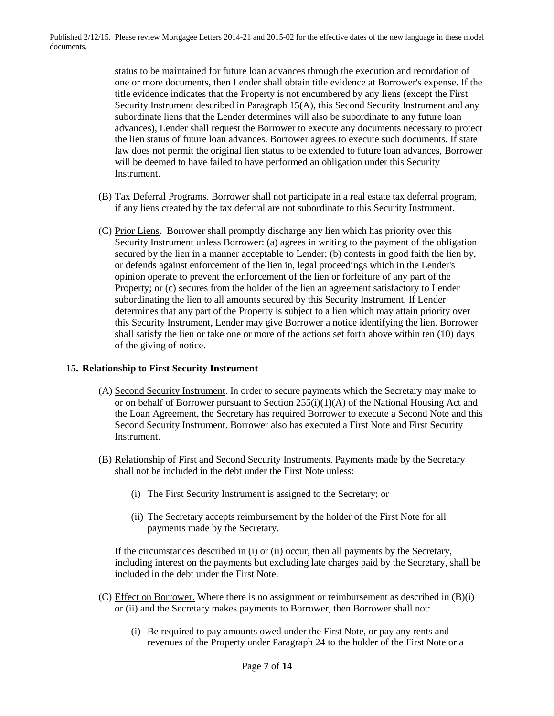> status to be maintained for future loan advances through the execution and recordation of one or more documents, then Lender shall obtain title evidence at Borrower's expense. If the title evidence indicates that the Property is not encumbered by any liens (except the First Security Instrument described in Paragraph 15(A), this Second Security Instrument and any subordinate liens that the Lender determines will also be subordinate to any future loan advances), Lender shall request the Borrower to execute any documents necessary to protect the lien status of future loan advances. Borrower agrees to execute such documents. If state law does not permit the original lien status to be extended to future loan advances, Borrower will be deemed to have failed to have performed an obligation under this Security Instrument.

- (B) Tax Deferral Programs. Borrower shall not participate in a real estate tax deferral program, if any liens created by the tax deferral are not subordinate to this Security Instrument.
- (C) Prior Liens. Borrower shall promptly discharge any lien which has priority over this Security Instrument unless Borrower: (a) agrees in writing to the payment of the obligation secured by the lien in a manner acceptable to Lender; (b) contests in good faith the lien by, or defends against enforcement of the lien in, legal proceedings which in the Lender's opinion operate to prevent the enforcement of the lien or forfeiture of any part of the Property; or (c) secures from the holder of the lien an agreement satisfactory to Lender subordinating the lien to all amounts secured by this Security Instrument. If Lender determines that any part of the Property is subject to a lien which may attain priority over this Security Instrument, Lender may give Borrower a notice identifying the lien. Borrower shall satisfy the lien or take one or more of the actions set forth above within ten (10) days of the giving of notice.

### **15. Relationship to First Security Instrument**

- (A) Second Security Instrument. In order to secure payments which the Secretary may make to or on behalf of Borrower pursuant to Section 255(i)(1)(A) of the National Housing Act and the Loan Agreement, the Secretary has required Borrower to execute a Second Note and this Second Security Instrument. Borrower also has executed a First Note and First Security Instrument.
- (B) Relationship of First and Second Security Instruments. Payments made by the Secretary shall not be included in the debt under the First Note unless:
	- (i) The First Security Instrument is assigned to the Secretary; or
	- (ii) The Secretary accepts reimbursement by the holder of the First Note for all payments made by the Secretary.

If the circumstances described in (i) or (ii) occur, then all payments by the Secretary, including interest on the payments but excluding late charges paid by the Secretary, shall be included in the debt under the First Note.

- (C) Effect on Borrower. Where there is no assignment or reimbursement as described in (B)(i) or (ii) and the Secretary makes payments to Borrower, then Borrower shall not:
	- (i) Be required to pay amounts owed under the First Note, or pay any rents and revenues of the Property under Paragraph 24 to the holder of the First Note or a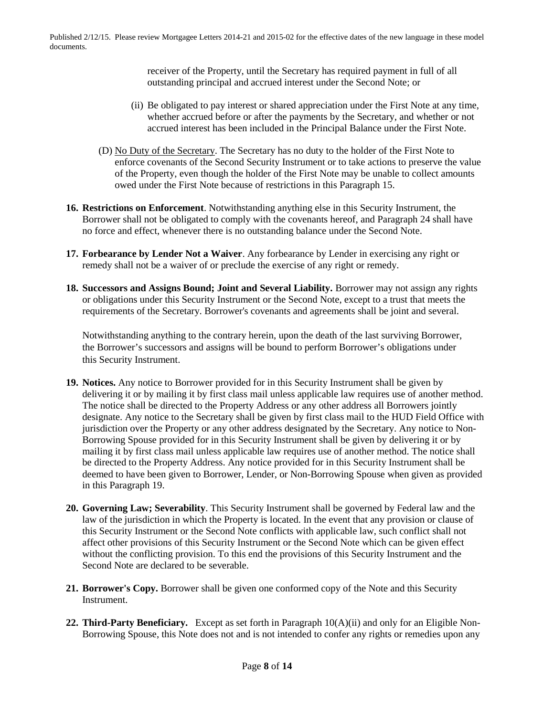> receiver of the Property, until the Secretary has required payment in full of all outstanding principal and accrued interest under the Second Note; or

- (ii) Be obligated to pay interest or shared appreciation under the First Note at any time, whether accrued before or after the payments by the Secretary, and whether or not accrued interest has been included in the Principal Balance under the First Note.
- (D) No Duty of the Secretary. The Secretary has no duty to the holder of the First Note to enforce covenants of the Second Security Instrument or to take actions to preserve the value of the Property, even though the holder of the First Note may be unable to collect amounts owed under the First Note because of restrictions in this Paragraph 15.
- **16. Restrictions on Enforcement**. Notwithstanding anything else in this Security Instrument, the Borrower shall not be obligated to comply with the covenants hereof, and Paragraph 24 shall have no force and effect, whenever there is no outstanding balance under the Second Note.
- **17. Forbearance by Lender Not a Waiver**. Any forbearance by Lender in exercising any right or remedy shall not be a waiver of or preclude the exercise of any right or remedy.
- **18. Successors and Assigns Bound; Joint and Several Liability.** Borrower may not assign any rights or obligations under this Security Instrument or the Second Note, except to a trust that meets the requirements of the Secretary. Borrower's covenants and agreements shall be joint and several.

Notwithstanding anything to the contrary herein, upon the death of the last surviving Borrower, the Borrower's successors and assigns will be bound to perform Borrower's obligations under this Security Instrument.

- **19. Notices.** Any notice to Borrower provided for in this Security Instrument shall be given by delivering it or by mailing it by first class mail unless applicable law requires use of another method. The notice shall be directed to the Property Address or any other address all Borrowers jointly designate. Any notice to the Secretary shall be given by first class mail to the HUD Field Office with jurisdiction over the Property or any other address designated by the Secretary. Any notice to Non-Borrowing Spouse provided for in this Security Instrument shall be given by delivering it or by mailing it by first class mail unless applicable law requires use of another method. The notice shall be directed to the Property Address. Any notice provided for in this Security Instrument shall be deemed to have been given to Borrower, Lender, or Non-Borrowing Spouse when given as provided in this Paragraph 19.
- **20. Governing Law; Severability**. This Security Instrument shall be governed by Federal law and the law of the jurisdiction in which the Property is located. In the event that any provision or clause of this Security Instrument or the Second Note conflicts with applicable law, such conflict shall not affect other provisions of this Security Instrument or the Second Note which can be given effect without the conflicting provision. To this end the provisions of this Security Instrument and the Second Note are declared to be severable.
- **21. Borrower's Copy.** Borrower shall be given one conformed copy of the Note and this Security Instrument.
- **22. Third-Party Beneficiary.** Except as set forth in Paragraph 10(A)(ii) and only for an Eligible Non-Borrowing Spouse, this Note does not and is not intended to confer any rights or remedies upon any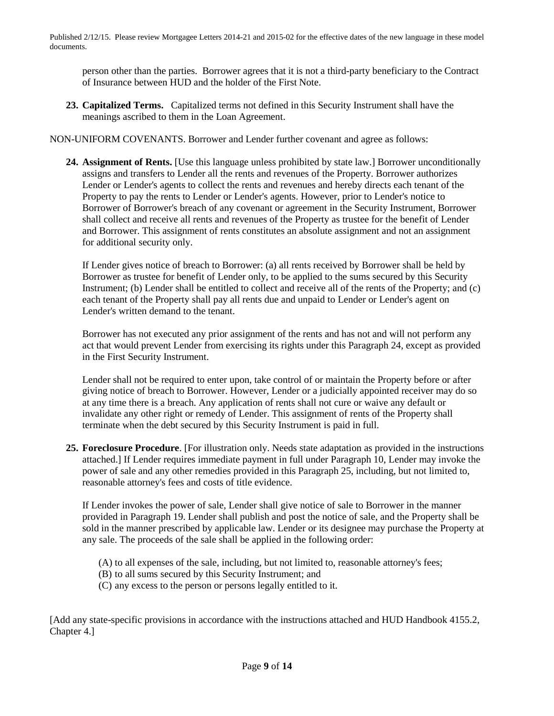person other than the parties. Borrower agrees that it is not a third-party beneficiary to the Contract of Insurance between HUD and the holder of the First Note.

**23. Capitalized Terms.** Capitalized terms not defined in this Security Instrument shall have the meanings ascribed to them in the Loan Agreement.

NON-UNIFORM COVENANTS. Borrower and Lender further covenant and agree as follows:

**24. Assignment of Rents.** [Use this language unless prohibited by state law.] Borrower unconditionally assigns and transfers to Lender all the rents and revenues of the Property. Borrower authorizes Lender or Lender's agents to collect the rents and revenues and hereby directs each tenant of the Property to pay the rents to Lender or Lender's agents. However, prior to Lender's notice to Borrower of Borrower's breach of any covenant or agreement in the Security Instrument, Borrower shall collect and receive all rents and revenues of the Property as trustee for the benefit of Lender and Borrower. This assignment of rents constitutes an absolute assignment and not an assignment for additional security only.

If Lender gives notice of breach to Borrower: (a) all rents received by Borrower shall be held by Borrower as trustee for benefit of Lender only, to be applied to the sums secured by this Security Instrument; (b) Lender shall be entitled to collect and receive all of the rents of the Property; and (c) each tenant of the Property shall pay all rents due and unpaid to Lender or Lender's agent on Lender's written demand to the tenant.

Borrower has not executed any prior assignment of the rents and has not and will not perform any act that would prevent Lender from exercising its rights under this Paragraph 24, except as provided in the First Security Instrument.

Lender shall not be required to enter upon, take control of or maintain the Property before or after giving notice of breach to Borrower. However, Lender or a judicially appointed receiver may do so at any time there is a breach. Any application of rents shall not cure or waive any default or invalidate any other right or remedy of Lender. This assignment of rents of the Property shall terminate when the debt secured by this Security Instrument is paid in full.

**25. Foreclosure Procedure**. [For illustration only. Needs state adaptation as provided in the instructions attached.] If Lender requires immediate payment in full under Paragraph 10, Lender may invoke the power of sale and any other remedies provided in this Paragraph 25, including, but not limited to, reasonable attorney's fees and costs of title evidence.

If Lender invokes the power of sale, Lender shall give notice of sale to Borrower in the manner provided in Paragraph 19. Lender shall publish and post the notice of sale, and the Property shall be sold in the manner prescribed by applicable law. Lender or its designee may purchase the Property at any sale. The proceeds of the sale shall be applied in the following order:

- (A) to all expenses of the sale, including, but not limited to, reasonable attorney's fees;
- (B) to all sums secured by this Security Instrument; and

(C) any excess to the person or persons legally entitled to it.

[Add any state-specific provisions in accordance with the instructions attached and HUD Handbook 4155.2, Chapter 4.]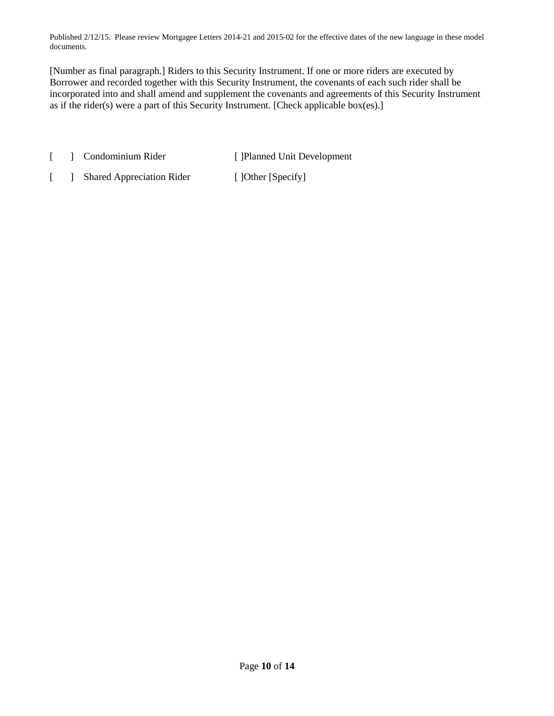[Number as final paragraph.] Riders to this Security Instrument. If one or more riders are executed by Borrower and recorded together with this Security Instrument, the covenants of each such rider shall be incorporated into and shall amend and supplement the covenants and agreements of this Security Instrument as if the rider(s) were a part of this Security Instrument. [Check applicable box(es).]

- [ ] Condominium Rider [ ]Planned Unit Development
- [ ] Shared Appreciation Rider [ ]Other [Specify]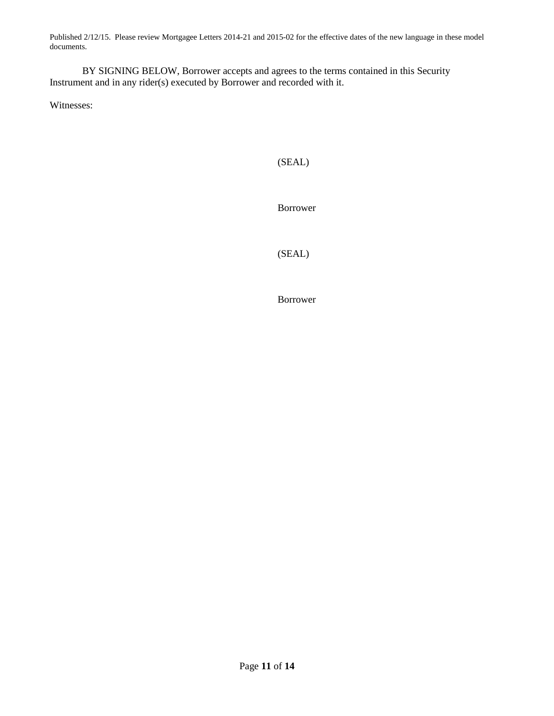BY SIGNING BELOW, Borrower accepts and agrees to the terms contained in this Security Instrument and in any rider(s) executed by Borrower and recorded with it.

Witnesses:

# (SEAL)

Borrower

(SEAL)

Borrower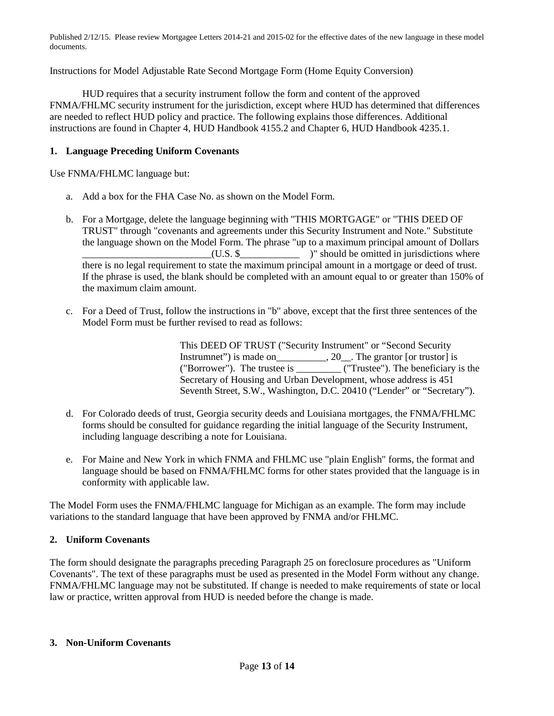Instructions for Model Adjustable Rate Second Mortgage Form (Home Equity Conversion)

HUD requires that a security instrument follow the form and content of the approved FNMA/FHLMC security instrument for the jurisdiction, except where HUD has determined that differences are needed to reflect HUD policy and practice. The following explains those differences. Additional instructions are found in Chapter 4, HUD Handbook 4155.2 and Chapter 6, HUD Handbook 4235.1.

## **1. Language Preceding Uniform Covenants**

Use FNMA/FHLMC language but:

- a. Add a box for the FHA Case No. as shown on the Model Form.
- b. For a Mortgage, delete the language beginning with "THIS MORTGAGE" or "THIS DEED OF TRUST" through "covenants and agreements under this Security Instrument and Note." Substitute the language shown on the Model Form. The phrase "up to a maximum principal amount of Dollars  $(U.S.$  \$ there is no legal requirement to state the maximum principal amount in a mortgage or deed of trust. If the phrase is used, the blank should be completed with an amount equal to or greater than 150% of the maximum claim amount.
- c. For a Deed of Trust, follow the instructions in "b" above, except that the first three sentences of the Model Form must be further revised to read as follows:

This DEED OF TRUST ("Security Instrument" or "Second Security Instrumnet") is made on\_\_\_\_\_\_\_\_\_\_, 20\_\_. The grantor [or trustor] is ("Borrower"). The trustee is \_\_\_\_\_\_\_\_\_ ("Trustee"). The beneficiary is the Secretary of Housing and Urban Development, whose address is 451 Seventh Street, S.W., Washington, D.C. 20410 ("Lender" or "Secretary").

- d. For Colorado deeds of trust, Georgia security deeds and Louisiana mortgages, the FNMA/FHLMC forms should be consulted for guidance regarding the initial language of the Security Instrument, including language describing a note for Louisiana.
- e. For Maine and New York in which FNMA and FHLMC use "plain English" forms, the format and language should be based on FNMA/FHLMC forms for other states provided that the language is in conformity with applicable law.

The Model Form uses the FNMA/FHLMC language for Michigan as an example. The form may include variations to the standard language that have been approved by FNMA and/or FHLMC.

# **2. Uniform Covenants**

The form should designate the paragraphs preceding Paragraph 25 on foreclosure procedures as "Uniform Covenants". The text of these paragraphs must be used as presented in the Model Form without any change. FNMA/FHLMC language may not be substituted. If change is needed to make requirements of state or local law or practice, written approval from HUD is needed before the change is made.

### **3. Non-Uniform Covenants**